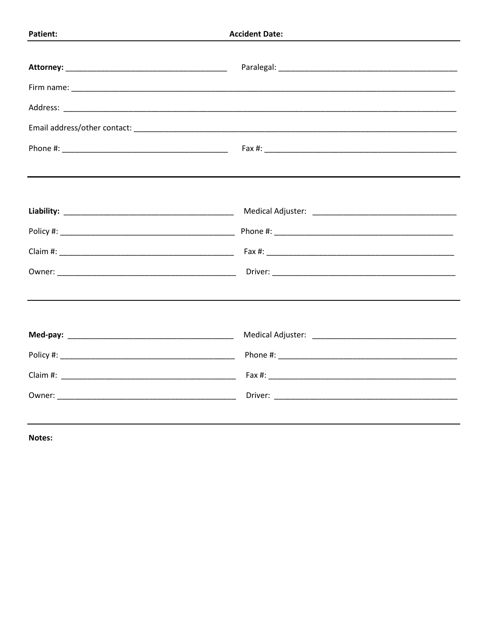Notes: